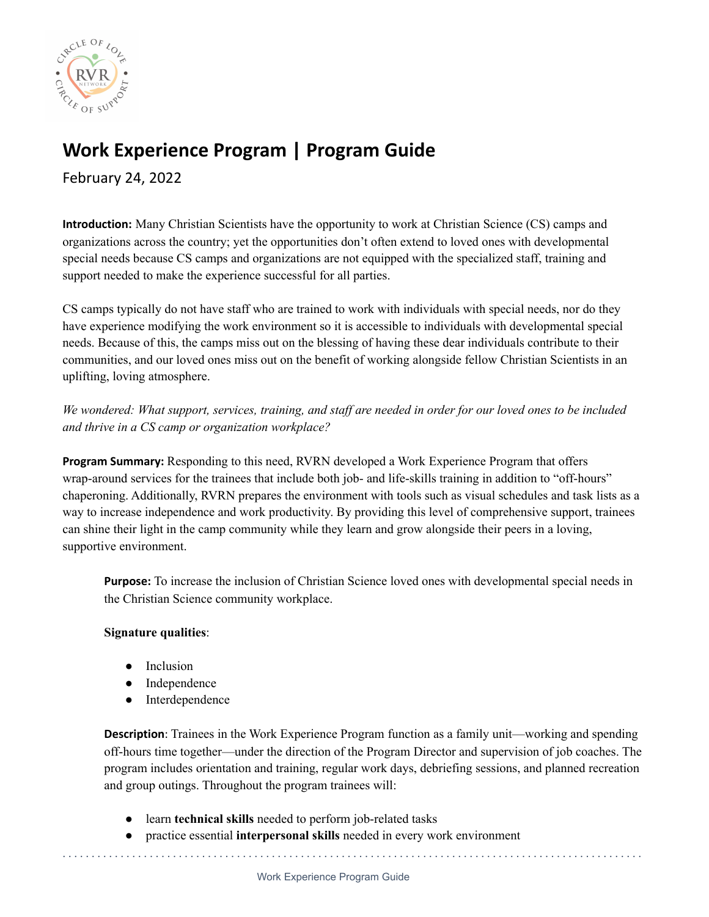

## **Work Experience Program | Program Guide**

February 24, 2022

**Introduction:** Many Christian Scientists have the opportunity to work at Christian Science (CS) camps and organizations across the country; yet the opportunities don't often extend to loved ones with developmental special needs because CS camps and organizations are not equipped with the specialized staff, training and support needed to make the experience successful for all parties.

CS camps typically do not have staff who are trained to work with individuals with special needs, nor do they have experience modifying the work environment so it is accessible to individuals with developmental special needs. Because of this, the camps miss out on the blessing of having these dear individuals contribute to their communities, and our loved ones miss out on the benefit of working alongside fellow Christian Scientists in an uplifting, loving atmosphere.

We wondered: What support, services, training, and staff are needed in order for our loved ones to be included *and thrive in a CS camp or organization workplace?*

**Program Summary:** Responding to this need, RVRN developed a Work Experience Program that offers wrap-around services for the trainees that include both job- and life-skills training in addition to "off-hours" chaperoning. Additionally, RVRN prepares the environment with tools such as visual schedules and task lists as a way to increase independence and work productivity. By providing this level of comprehensive support, trainees can shine their light in the camp community while they learn and grow alongside their peers in a loving, supportive environment.

**Purpose:** To increase the inclusion of Christian Science loved ones with developmental special needs in the Christian Science community workplace.

## **Signature qualities**:

- Inclusion
- Independence
- Interdependence

**Description**: Trainees in the Work Experience Program function as a family unit—working and spending off-hours time together—under the direction of the Program Director and supervision of job coaches. The program includes orientation and training, regular work days, debriefing sessions, and planned recreation and group outings. Throughout the program trainees will:

- learn **technical skills** needed to perform job-related tasks
- practice essential **interpersonal skills** needed in every work environment

. . . . . . . . . . . . . . . . . . . . . . . . . . . . . . . . . . . . . . . . . . . . . . . . . . . . . . . . . . . . . . . . . . . . . . . . . . . . . . . . . . . . . . . . . . . . . . . . . . . .